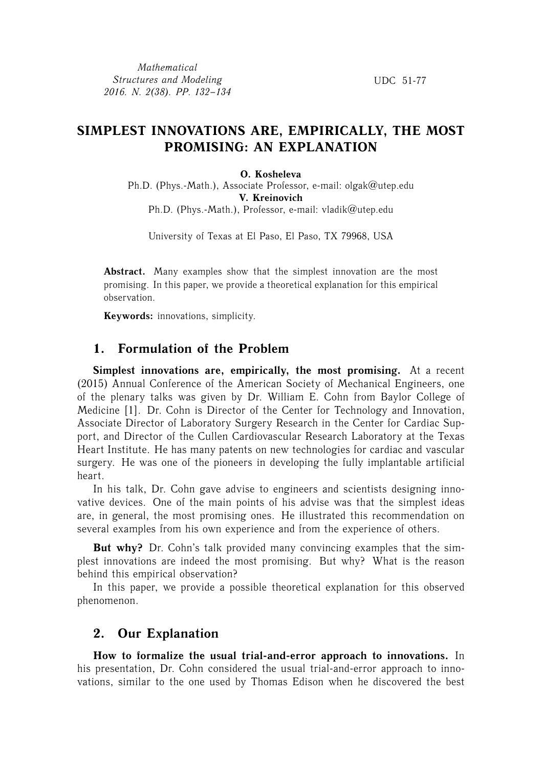*Mathematical Structures and Modeling 2016. N. 2(38). PP. 132–134*

UDC 51-77

## **SIMPLEST INNOVATIONS ARE, EMPIRICALLY, THE MOST PROMISING: AN EXPLANATION**

#### **O. Kosheleva**

Ph.D. (Phys.-Math.), Associate Professor, e-mail: olgak@utep.edu **V. Kreinovich** Ph.D. (Phys.-Math.), Professor, e-mail: vladik@utep.edu

University of Texas at El Paso, El Paso, TX 79968, USA

**Abstract.** Many examples show that the simplest innovation are the most promising. In this paper, we provide a theoretical explanation for this empirical observation.

**Keywords:** innovations, simplicity.

## **1. Formulation of the Problem**

**Simplest innovations are, empirically, the most promising.** At a recent (2015) Annual Conference of the American Society of Mechanical Engineers, one of the plenary talks was given by Dr. William E. Cohn from Baylor College of Medicine [1]. Dr. Cohn is Director of the Center for Technology and Innovation, Associate Director of Laboratory Surgery Research in the Center for Cardiac Support, and Director of the Cullen Cardiovascular Research Laboratory at the Texas Heart Institute. He has many patents on new technologies for cardiac and vascular surgery. He was one of the pioneers in developing the fully implantable artificial heart.

In his talk, Dr. Cohn gave advise to engineers and scientists designing innovative devices. One of the main points of his advise was that the simplest ideas are, in general, the most promising ones. He illustrated this recommendation on several examples from his own experience and from the experience of others.

**But why?** Dr. Cohn's talk provided many convincing examples that the simplest innovations are indeed the most promising. But why? What is the reason behind this empirical observation?

In this paper, we provide a possible theoretical explanation for this observed phenomenon.

### **2. Our Explanation**

**How to formalize the usual trial-and-error approach to innovations.** In his presentation, Dr. Cohn considered the usual trial-and-error approach to innovations, similar to the one used by Thomas Edison when he discovered the best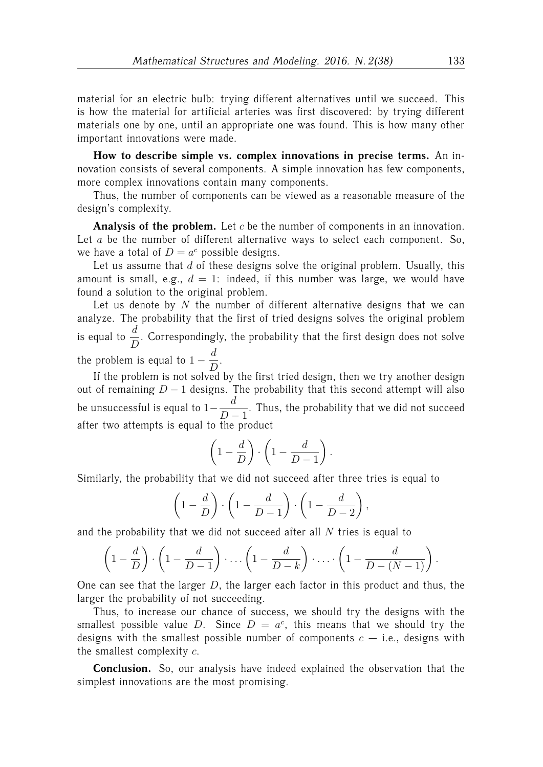material for an electric bulb: trying different alternatives until we succeed. This is how the material for artificial arteries was first discovered: by trying different materials one by one, until an appropriate one was found. This is how many other important innovations were made.

**How to describe simple vs. complex innovations in precise terms.** An innovation consists of several components. A simple innovation has few components, more complex innovations contain many components.

Thus, the number of components can be viewed as a reasonable measure of the design's complexity.

**Analysis of the problem.** Let c be the number of components in an innovation. Let  $a$  be the number of different alternative ways to select each component. So, we have a total of  $D = a^c$  possible designs.

Let us assume that  $d$  of these designs solve the original problem. Usually, this amount is small, e.g.,  $d = 1$ : indeed, if this number was large, we would have found a solution to the original problem.

Let us denote by  $N$  the number of different alternative designs that we can analyze. The probability that the first of tried designs solves the original problem is equal to  $\frac{d}{D}$ . Correspondingly, the probability that the first design does not solve the problem is equal to  $1-\frac{d}{d}$  $\frac{a}{D}$ .

If the problem is not solved by the first tried design, then we try another design out of remaining  $D - 1$  designs. The probability that this second attempt will also be unsuccessful is equal to  $1-\frac{d}{dt}$  $\frac{a}{D-1}$ . Thus, the probability that we did not succeed after two attempts is equal to the product

$$
\left(1-\frac{d}{D}\right)\cdot\left(1-\frac{d}{D-1}\right).
$$

Similarly, the probability that we did not succeed after three tries is equal to

$$
\left(1 - \frac{d}{D}\right) \cdot \left(1 - \frac{d}{D - 1}\right) \cdot \left(1 - \frac{d}{D - 2}\right)
$$

,

and the probability that we did not succeed after all  $N$  tries is equal to

$$
\left(1-\frac{d}{D}\right)\cdot\left(1-\frac{d}{D-1}\right)\cdot\ldots\left(1-\frac{d}{D-k}\right)\cdot\ldots\cdot\left(1-\frac{d}{D-(N-1)}\right).
$$

One can see that the larger  $D$ , the larger each factor in this product and thus, the larger the probability of not succeeding.

Thus, to increase our chance of success, we should try the designs with the smallest possible value D. Since  $D = a^c$ , this means that we should try the designs with the smallest possible number of components  $c - i.e.,$  designs with the smallest complexity c.

**Conclusion.** So, our analysis have indeed explained the observation that the simplest innovations are the most promising.